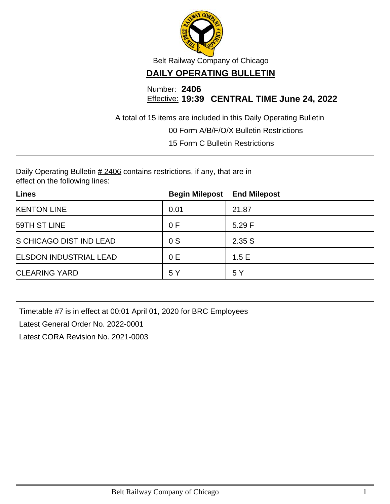

Belt Railway Company of Chicago

## **DAILY OPERATING BULLETIN**

Number: **2406** Effective: **19:39 CENTRAL TIME June 24, 2022**

A total of 15 items are included in this Daily Operating Bulletin

00 Form A/B/F/O/X Bulletin Restrictions

15 Form C Bulletin Restrictions

Daily Operating Bulletin  $#2406$  contains restrictions, if any, that are in effect on the following lines:

| <b>Lines</b>            | <b>Begin Milepost</b> | <b>End Milepost</b> |
|-------------------------|-----------------------|---------------------|
| <b>KENTON LINE</b>      | 0.01                  | 21.87               |
| 59TH ST LINE            | 0 F                   | 5.29 F              |
| S CHICAGO DIST IND LEAD | 0S                    | 2.35S               |
| ELSDON INDUSTRIAL LEAD  | 0 E                   | 1.5E                |
| <b>CLEARING YARD</b>    | 5 Y                   | 5 Y                 |

Timetable #7 is in effect at 00:01 April 01, 2020 for BRC Employees Latest General Order No. 2022-0001

Latest CORA Revision No. 2021-0003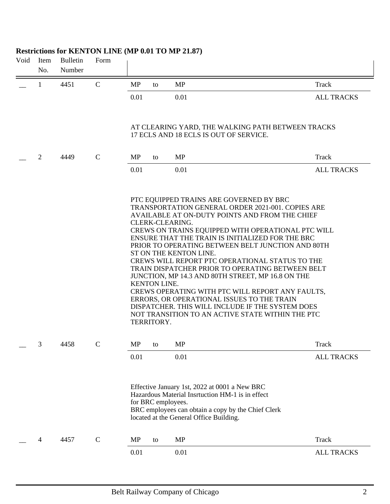# Void Item Bulletin Form No. Number  $\qquad \qquad$  1 4451 C MP to MP Track 0.01 0.01 0.01 ALL TRACKS AT CLEARING YARD, THE WALKING PATH BETWEEN TRACKS 17 ECLS AND 18 ECLS IS OUT OF SERVICE. \_\_ 2 4449 C MP to MP Track 0.01 0.01 0.01 ALL TRACKS PTC EQUIPPED TRAINS ARE GOVERNED BY BRC TRANSPORTATION GENERAL ORDER 2021-001. COPIES ARE AVAILABLE AT ON-DUTY POINTS AND FROM THE CHIEF CLERK-CLEARING. CREWS ON TRAINS EQUIPPED WITH OPERATIONAL PTC WILL ENSURE THAT THE TRAIN IS INITIALIZED FOR THE BRC PRIOR TO OPERATING BETWEEN BELT JUNCTION AND 80TH ST ON THE KENTON LINE. CREWS WILL REPORT PTC OPERATIONAL STATUS TO THE TRAIN DISPATCHER PRIOR TO OPERATING BETWEEN BELT JUNCTION, MP 14.3 AND 80TH STREET, MP 16.8 ON THE KENTON LINE. CREWS OPERATING WITH PTC WILL REPORT ANY FAULTS, ERRORS, OR OPERATIONAL ISSUES TO THE TRAIN DISPATCHER. THIS WILL INCLUDE IF THE SYSTEM DOES NOT TRANSITION TO AN ACTIVE STATE WITHIN THE PTC TERRITORY. \_\_ 3 4458 C MP to MP Track 0.01 0.01 ALL TRACKS Effective January 1st, 2022 at 0001 a New BRC Hazardous Material Insrtuction HM-1 is in effect for BRC employees. BRC employees can obtain a copy by the Chief Clerk located at the General Office Building. \_\_ 4 4457 C MP to MP Track 0.01 0.01 0.01 ALL TRACKS

#### **Restrictions for KENTON LINE (MP 0.01 TO MP 21.87)**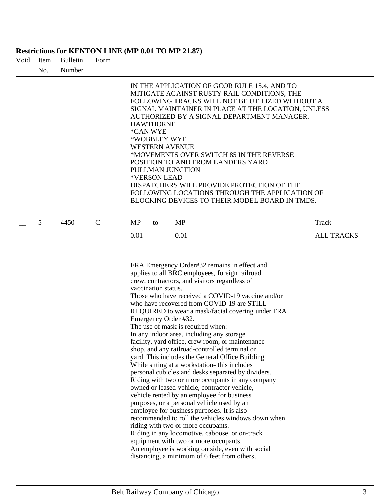#### **Restrictions for KENTON LINE (MP 0.01 TO MP 21.87)**

| Void | Item<br>No. | <b>Bulletin</b><br>Number | Form          |                                                                                                                                                                                                                                                                                                                                                                                                                                                                                                                                                                                                                                                                                                                                                                                                                                                                                                                                                                                                                                                                                                                                                                                                                                                   |                            |
|------|-------------|---------------------------|---------------|---------------------------------------------------------------------------------------------------------------------------------------------------------------------------------------------------------------------------------------------------------------------------------------------------------------------------------------------------------------------------------------------------------------------------------------------------------------------------------------------------------------------------------------------------------------------------------------------------------------------------------------------------------------------------------------------------------------------------------------------------------------------------------------------------------------------------------------------------------------------------------------------------------------------------------------------------------------------------------------------------------------------------------------------------------------------------------------------------------------------------------------------------------------------------------------------------------------------------------------------------|----------------------------|
|      |             |                           |               | IN THE APPLICATION OF GCOR RULE 15.4, AND TO<br>MITIGATE AGAINST RUSTY RAIL CONDITIONS, THE<br>FOLLOWING TRACKS WILL NOT BE UTILIZED WITHOUT A<br>SIGNAL MAINTAINER IN PLACE AT THE LOCATION, UNLESS<br>AUTHORIZED BY A SIGNAL DEPARTMENT MANAGER.<br><b>HAWTHORNE</b><br>*CAN WYE<br>*WOBBLEY WYE<br><b>WESTERN AVENUE</b><br>*MOVEMENTS OVER SWITCH 85 IN THE REVERSE<br>POSITION TO AND FROM LANDERS YARD<br>PULLMAN JUNCTION<br>*VERSON LEAD<br>DISPATCHERS WILL PROVIDE PROTECTION OF THE<br>FOLLOWING LOCATIONS THROUGH THE APPLICATION OF<br>BLOCKING DEVICES TO THEIR MODEL BOARD IN TMDS.                                                                                                                                                                                                                                                                                                                                                                                                                                                                                                                                                                                                                                                |                            |
|      | 5           | 4450                      | $\mathcal{C}$ | <b>MP</b><br>MP<br>to<br>0.01<br>0.01                                                                                                                                                                                                                                                                                                                                                                                                                                                                                                                                                                                                                                                                                                                                                                                                                                                                                                                                                                                                                                                                                                                                                                                                             | Track<br><b>ALL TRACKS</b> |
|      |             |                           |               | FRA Emergency Order#32 remains in effect and<br>applies to all BRC employees, foreign railroad<br>crew, contractors, and visitors regardless of<br>vaccination status.<br>Those who have received a COVID-19 vaccine and/or<br>who have recovered from COVID-19 are STILL<br>REQUIRED to wear a mask/facial covering under FRA<br>Emergency Order #32.<br>The use of mask is required when:<br>In any indoor area, including any storage<br>facility, yard office, crew room, or maintenance<br>shop, and any railroad-controlled terminal or<br>yard. This includes the General Office Building.<br>While sitting at a workstation- this includes<br>personal cubicles and desks separated by dividers.<br>Riding with two or more occupants in any company<br>owned or leased vehicle, contractor vehicle,<br>vehicle rented by an employee for business<br>purposes, or a personal vehicle used by an<br>employee for business purposes. It is also<br>recommended to roll the vehicles windows down when<br>riding with two or more occupants.<br>Riding in any locomotive, caboose, or on-track<br>equipment with two or more occupants.<br>An employee is working outside, even with social<br>distancing, a minimum of 6 feet from others. |                            |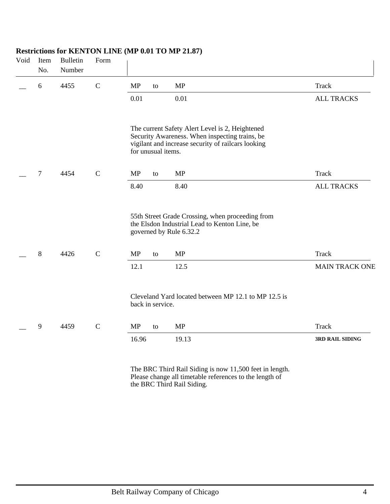| Void | Item<br>No.      | <b>Bulletin</b><br>Number | Form        |                    |    |                                                                                                                                                         |                        |
|------|------------------|---------------------------|-------------|--------------------|----|---------------------------------------------------------------------------------------------------------------------------------------------------------|------------------------|
|      | $\boldsymbol{6}$ | 4455                      | $\mathbf C$ | MP                 | to | <b>MP</b>                                                                                                                                               | Track                  |
|      |                  |                           |             | 0.01               |    | 0.01                                                                                                                                                    | <b>ALL TRACKS</b>      |
|      |                  |                           |             | for unusual items. |    | The current Safety Alert Level is 2, Heightened<br>Security Awareness. When inspecting trains, be<br>vigilant and increase security of railcars looking |                        |
|      | $\boldsymbol{7}$ | 4454                      | $\mathbf C$ | MP                 | to | <b>MP</b>                                                                                                                                               | <b>Track</b>           |
|      |                  |                           |             | 8.40               |    | 8.40                                                                                                                                                    | <b>ALL TRACKS</b>      |
|      |                  |                           |             |                    |    | 55th Street Grade Crossing, when proceeding from<br>the Elsdon Industrial Lead to Kenton Line, be<br>governed by Rule 6.32.2                            |                        |
|      | $8\,$            | 4426                      | ${\bf C}$   | <b>MP</b>          | to | MP                                                                                                                                                      | Track                  |
|      |                  |                           |             | 12.1               |    | 12.5                                                                                                                                                    | <b>MAIN TRACK ONE</b>  |
|      |                  |                           |             | back in service.   |    | Cleveland Yard located between MP 12.1 to MP 12.5 is                                                                                                    |                        |
|      | 9                | 4459                      | $\mathbf C$ | MP                 | to | MP                                                                                                                                                      | <b>Track</b>           |
|      |                  |                           |             | 16.96              |    | 19.13                                                                                                                                                   | <b>3RD RAIL SIDING</b> |
|      |                  |                           |             |                    |    |                                                                                                                                                         |                        |

### **Restrictions for KENTON LINE (MP 0.01 TO MP 21.87)**

The BRC Third Rail Siding is now 11,500 feet in length. Please change all timetable references to the length of the BRC Third Rail Siding.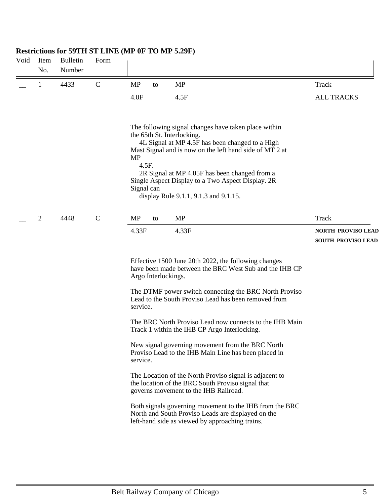| Void | Item<br>No.    | <b>Bulletin</b><br>Number | Form        |                                                                                                                                                                                                                                                                                                                                                                              |                                                        |
|------|----------------|---------------------------|-------------|------------------------------------------------------------------------------------------------------------------------------------------------------------------------------------------------------------------------------------------------------------------------------------------------------------------------------------------------------------------------------|--------------------------------------------------------|
|      | 1              | 4433                      | $\mathbf C$ | <b>MP</b><br><b>MP</b><br>to                                                                                                                                                                                                                                                                                                                                                 | Track                                                  |
|      |                |                           |             | 4.0F<br>4.5F                                                                                                                                                                                                                                                                                                                                                                 | <b>ALL TRACKS</b>                                      |
|      |                |                           |             | The following signal changes have taken place within<br>the 65th St. Interlocking.<br>4L Signal at MP 4.5F has been changed to a High<br>Mast Signal and is now on the left hand side of MT 2 at<br>MP<br>4.5F.<br>2R Signal at MP 4.05F has been changed from a<br>Single Aspect Display to a Two Aspect Display. 2R<br>Signal can<br>display Rule 9.1.1, 9.1.3 and 9.1.15. |                                                        |
|      | $\overline{c}$ | 4448                      | $\mathbf C$ | <b>MP</b><br><b>MP</b><br>to                                                                                                                                                                                                                                                                                                                                                 | <b>Track</b>                                           |
|      |                |                           |             | 4.33F<br>4.33F                                                                                                                                                                                                                                                                                                                                                               | <b>NORTH PROVISO LEAD</b><br><b>SOUTH PROVISO LEAD</b> |
|      |                |                           |             | Effective 1500 June 20th 2022, the following changes<br>have been made between the BRC West Sub and the IHB CP<br>Argo Interlockings.                                                                                                                                                                                                                                        |                                                        |
|      |                |                           |             | The DTMF power switch connecting the BRC North Proviso<br>Lead to the South Proviso Lead has been removed from<br>service.                                                                                                                                                                                                                                                   |                                                        |
|      |                |                           |             | The BRC North Proviso Lead now connects to the IHB Main<br>Track 1 within the IHB CP Argo Interlocking.                                                                                                                                                                                                                                                                      |                                                        |
|      |                |                           |             | New signal governing movement from the BRC North<br>Proviso Lead to the IHB Main Line has been placed in<br>service.                                                                                                                                                                                                                                                         |                                                        |
|      |                |                           |             | The Location of the North Proviso signal is adjacent to<br>the location of the BRC South Proviso signal that<br>governs movement to the IHB Railroad.                                                                                                                                                                                                                        |                                                        |
|      |                |                           |             | Both signals governing movement to the IHB from the BRC<br>North and South Proviso Leads are displayed on the<br>left-hand side as viewed by approaching trains.                                                                                                                                                                                                             |                                                        |
|      |                |                           |             |                                                                                                                                                                                                                                                                                                                                                                              |                                                        |

# **Restrictions for 59TH ST LINE (MP 0F TO MP 5.29F)**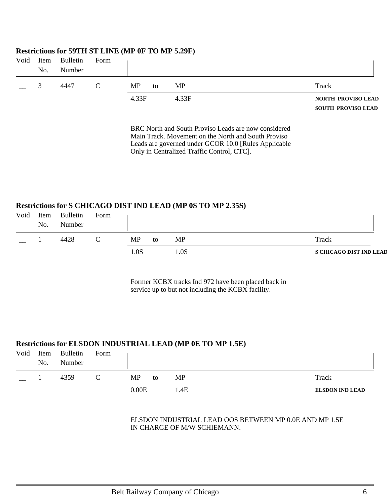|      |      | $\frac{1}{2}$ |      |           |    |           |       |                           |
|------|------|---------------|------|-----------|----|-----------|-------|---------------------------|
| Void | Item | Bulletin      | Form |           |    |           |       |                           |
|      | No.  | Number        |      |           |    |           |       |                           |
|      |      | 4447          | C    | <b>MP</b> | to | <b>MP</b> | Track |                           |
|      |      |               |      | 4.33F     |    | 4.33F     |       | <b>NORTH PROVISO LEAD</b> |
|      |      |               |      |           |    |           |       | <b>SOUTH PROVISO LEAD</b> |

#### **Restrictions for 59TH ST LINE (MP 0F TO MP 5.29F)**

BRC North and South Proviso Leads are now considered Main Track. Movement on the North and South Proviso Leads are governed under GCOR 10.0 [Rules Applicable Only in Centralized Traffic Control, CTC].

### **Restrictions for S CHICAGO DIST IND LEAD (MP 0S TO MP 2.35S)**

| Void | Item<br>No. | Bulletin<br>Number | Form |     |    |     |                                |
|------|-------------|--------------------|------|-----|----|-----|--------------------------------|
|      |             | 4428               |      | MP  | to | MP  | Track                          |
|      |             |                    |      | .0S |    | .0S | <b>S CHICAGO DIST IND LEAD</b> |

Former KCBX tracks Ind 972 have been placed back in service up to but not including the KCBX facility.

#### **Restrictions for ELSDON INDUSTRIAL LEAD (MP 0E TO MP 1.5E)**

| Void | Item<br>No. | Bulletin<br>Number | Form |       |    |      |                        |
|------|-------------|--------------------|------|-------|----|------|------------------------|
|      |             | 4359               | ◡    | MP    | to | MP   | Track                  |
|      |             |                    |      | 0.00E |    | 1.4E | <b>ELSDON IND LEAD</b> |

#### ELSDON INDUSTRIAL LEAD OOS BETWEEN MP 0.0E AND MP 1.5E IN CHARGE OF M/W SCHIEMANN.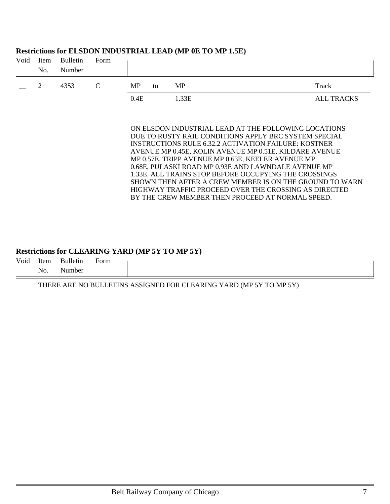| Void | Item<br>No.    | <b>Bulletin</b><br>Number | Form |      |    |                                                                                                                                                                                                                                                                                                                                                                                                                                                                                                                                                                              |                   |
|------|----------------|---------------------------|------|------|----|------------------------------------------------------------------------------------------------------------------------------------------------------------------------------------------------------------------------------------------------------------------------------------------------------------------------------------------------------------------------------------------------------------------------------------------------------------------------------------------------------------------------------------------------------------------------------|-------------------|
|      | $\overline{2}$ | 4353                      | C    | MP   | to | <b>MP</b>                                                                                                                                                                                                                                                                                                                                                                                                                                                                                                                                                                    | Track             |
|      |                |                           |      | 0.4E |    | 1.33E                                                                                                                                                                                                                                                                                                                                                                                                                                                                                                                                                                        | <b>ALL TRACKS</b> |
|      |                |                           |      |      |    | ON ELSDON INDUSTRIAL LEAD AT THE FOLLOWING LOCATIONS<br>DUE TO RUSTY RAIL CONDITIONS APPLY BRC SYSTEM SPECIAL<br>INSTRUCTIONS RULE 6.32.2 ACTIVATION FAILURE: KOSTNER<br>AVENUE MP 0.45E, KOLIN AVENUE MP 0.51E, KILDARE AVENUE<br>MP 0.57E, TRIPP AVENUE MP 0.63E, KEELER AVENUE MP<br>0.68E, PULASKI ROAD MP 0.93E AND LAWNDALE AVENUE MP<br>1.33E. ALL TRAINS STOP BEFORE OCCUPYING THE CROSSINGS<br>SHOWN THEN AFTER A CREW MEMBER IS ON THE GROUND TO WARN<br>HIGHWAY TRAFFIC PROCEED OVER THE CROSSING AS DIRECTED<br>BY THE CREW MEMBER THEN PROCEED AT NORMAL SPEED. |                   |

### **Restrictions for ELSDON INDUSTRIAL LEAD (MP 0E TO MP 1.5E)**

#### **Restrictions for CLEARING YARD (MP 5Y TO MP 5Y)**

Void Item Bulletin Form No. Number

THERE ARE NO BULLETINS ASSIGNED FOR CLEARING YARD (MP 5Y TO MP 5Y)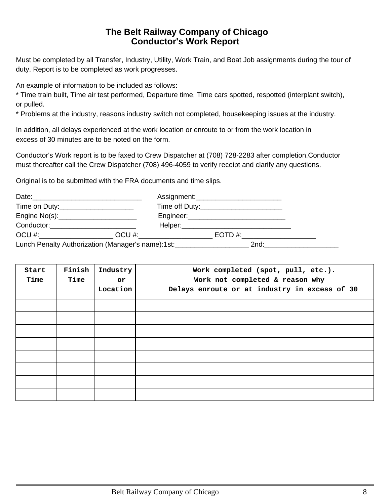## **The Belt Railway Company of Chicago Conductor's Work Report**

Must be completed by all Transfer, Industry, Utility, Work Train, and Boat Job assignments during the tour of duty. Report is to be completed as work progresses.

An example of information to be included as follows:

\* Time train built, Time air test performed, Departure time, Time cars spotted, respotted (interplant switch), or pulled.

\* Problems at the industry, reasons industry switch not completed, housekeeping issues at the industry.

In addition, all delays experienced at the work location or enroute to or from the work location in excess of 30 minutes are to be noted on the form.

Conductor's Work report is to be faxed to Crew Dispatcher at (708) 728-2283 after completion.Conductor must thereafter call the Crew Dispatcher (708) 496-4059 to verify receipt and clarify any questions.

Original is to be submitted with the FRA documents and time slips.

| Time on Duty:________________________                                            |                            |      |  |
|----------------------------------------------------------------------------------|----------------------------|------|--|
|                                                                                  |                            |      |  |
| Conductor:___________________________                                            |                            |      |  |
|                                                                                  | $OCU \#$ : _______________ |      |  |
| Lunch Penalty Authorization (Manager's name):1st:_______________________________ |                            | 2nd: |  |

| Start<br>Time | Finish<br>Time | Industry<br>or<br>Location | Work completed (spot, pull, etc.).<br>Work not completed & reason why<br>Delays enroute or at industry in excess of 30 |
|---------------|----------------|----------------------------|------------------------------------------------------------------------------------------------------------------------|
|               |                |                            |                                                                                                                        |
|               |                |                            |                                                                                                                        |
|               |                |                            |                                                                                                                        |
|               |                |                            |                                                                                                                        |
|               |                |                            |                                                                                                                        |
|               |                |                            |                                                                                                                        |
|               |                |                            |                                                                                                                        |
|               |                |                            |                                                                                                                        |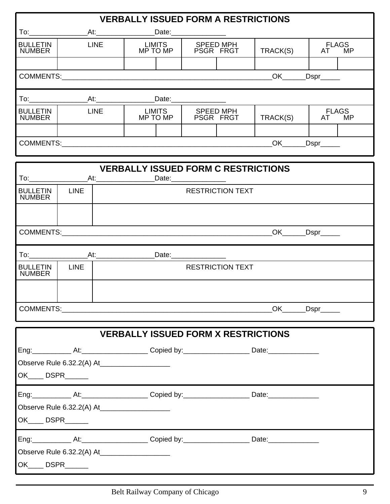|                                  |             |             | <b>VERBALLY ISSUED FORM A RESTRICTIONS</b>                                                           |                        |                               |          |                     |                           |
|----------------------------------|-------------|-------------|------------------------------------------------------------------------------------------------------|------------------------|-------------------------------|----------|---------------------|---------------------------|
|                                  |             |             |                                                                                                      | Date: ________________ |                               |          |                     |                           |
| <b>BULLETIN</b><br><b>NUMBER</b> |             | <b>LINE</b> | <b>LIMITS</b><br>MP TO MP                                                                            |                        | <b>SPEED MPH</b><br>PSGR FRGT | TRACK(S) | AT                  | <b>FLAGS</b><br><b>MP</b> |
|                                  |             |             |                                                                                                      |                        |                               |          |                     |                           |
|                                  |             |             |                                                                                                      |                        |                               |          | OK __Dspr_____      |                           |
|                                  |             |             |                                                                                                      |                        |                               |          |                     |                           |
| <b>BULLETIN</b><br><b>NUMBER</b> |             | <b>LINE</b> | <b>LIMITS</b><br>MP TO MP                                                                            |                        | SPEED MPH<br>PSGR FRGT        | TRACK(S) | AT                  | <b>FLAGS</b><br><b>MP</b> |
|                                  |             |             |                                                                                                      |                        |                               |          | OK _____ Dspr______ |                           |
|                                  |             |             |                                                                                                      |                        |                               |          |                     |                           |
|                                  |             |             | <b>VERBALLY ISSUED FORM C RESTRICTIONS</b><br>At:_______________________Date:_______________________ |                        |                               |          |                     |                           |
| <b>BULLETIN</b><br><b>NUMBER</b> | <b>LINE</b> |             |                                                                                                      |                        | <b>RESTRICTION TEXT</b>       |          |                     |                           |
|                                  |             |             |                                                                                                      |                        |                               |          |                     |                           |
|                                  |             |             |                                                                                                      |                        |                               |          |                     |                           |
|                                  |             |             |                                                                                                      |                        |                               |          |                     |                           |
| <b>BULLETIN</b><br><b>NUMBER</b> | <b>LINE</b> |             |                                                                                                      |                        | <b>RESTRICTION TEXT</b>       |          |                     |                           |
|                                  |             |             |                                                                                                      |                        |                               |          |                     |                           |
|                                  |             |             |                                                                                                      |                        |                               |          |                     |                           |
|                                  |             |             | <b>VERBALLY ISSUED FORM X RESTRICTIONS</b>                                                           |                        |                               |          |                     |                           |
|                                  |             |             |                                                                                                      |                        |                               |          |                     |                           |
|                                  |             |             | Observe Rule 6.32.2(A) At_______________________                                                     |                        |                               |          |                     |                           |
| OK_____ DSPR_______              |             |             |                                                                                                      |                        |                               |          |                     |                           |
|                                  |             |             |                                                                                                      |                        |                               |          |                     |                           |
|                                  |             |             | Observe Rule 6.32.2(A) At_______________________                                                     |                        |                               |          |                     |                           |
| OK_____ DSPR_______              |             |             |                                                                                                      |                        |                               |          |                     |                           |
|                                  |             |             |                                                                                                      |                        |                               |          |                     |                           |
|                                  |             |             | Observe Rule 6.32.2(A) At______________________                                                      |                        |                               |          |                     |                           |
| OK____ DSPR______                |             |             |                                                                                                      |                        |                               |          |                     |                           |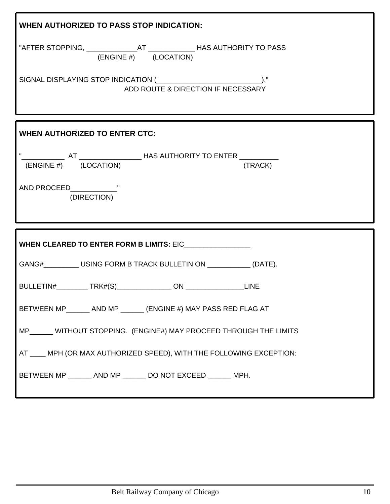| <b>WHEN AUTHORIZED TO PASS STOP INDICATION:</b>                                                          |
|----------------------------------------------------------------------------------------------------------|
| "AFTER STOPPING, _________________AT ________________HAS AUTHORITY TO PASS<br>$(ENGINE \#)$ $(LOCALION)$ |
| ADD ROUTE & DIRECTION IF NECESSARY                                                                       |
| <b>WHEN AUTHORIZED TO ENTER CTC:</b>                                                                     |
| $(ENGINE \#)$ $(LOCALION)$<br>(TRACK)                                                                    |
| (DIRECTION)                                                                                              |
| WHEN CLEARED TO ENTER FORM B LIMITS: EIC_________________                                                |
| GANG#____________USING FORM B TRACK BULLETIN ON ______________ (DATE).                                   |
|                                                                                                          |
| BETWEEN MP______ AND MP ______ (ENGINE #) MAY PASS RED FLAG AT                                           |
|                                                                                                          |
| MP______ WITHOUT STOPPING. (ENGINE#) MAY PROCEED THROUGH THE LIMITS                                      |
| AT ____ MPH (OR MAX AUTHORIZED SPEED), WITH THE FOLLOWING EXCEPTION:                                     |